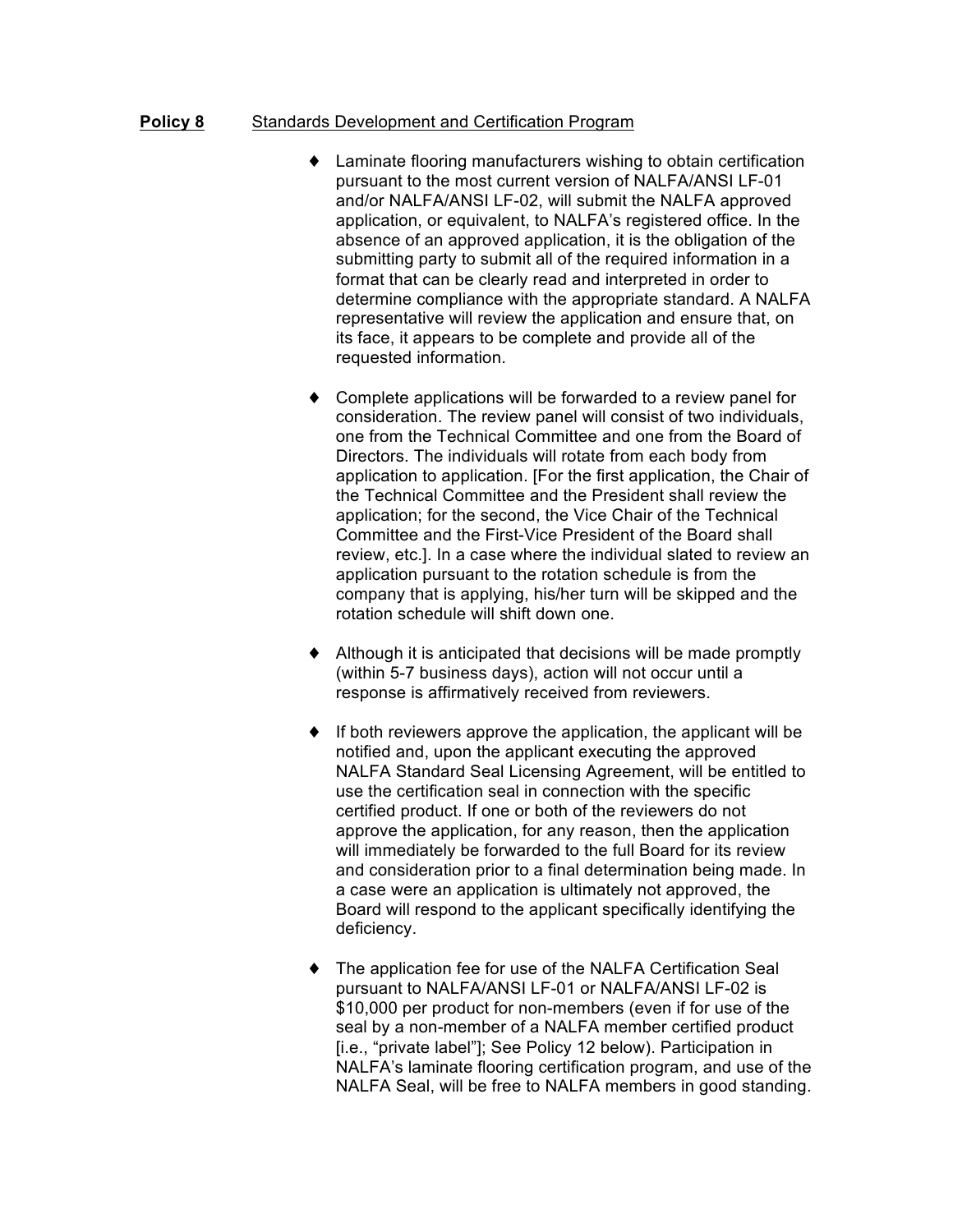## **Policy 8** Standards Development and Certification Program

- ♦ Laminate flooring manufacturers wishing to obtain certification pursuant to the most current version of NALFA/ANSI LF-01 and/or NALFA/ANSI LF-02, will submit the NALFA approved application, or equivalent, to NALFA's registered office. In the absence of an approved application, it is the obligation of the submitting party to submit all of the required information in a format that can be clearly read and interpreted in order to determine compliance with the appropriate standard. A NALFA representative will review the application and ensure that, on its face, it appears to be complete and provide all of the requested information.
- ♦ Complete applications will be forwarded to a review panel for consideration. The review panel will consist of two individuals, one from the Technical Committee and one from the Board of Directors. The individuals will rotate from each body from application to application. [For the first application, the Chair of the Technical Committee and the President shall review the application; for the second, the Vice Chair of the Technical Committee and the First-Vice President of the Board shall review, etc.]. In a case where the individual slated to review an application pursuant to the rotation schedule is from the company that is applying, his/her turn will be skipped and the rotation schedule will shift down one.
- Although it is anticipated that decisions will be made promptly (within 5-7 business days), action will not occur until a response is affirmatively received from reviewers.
- ♦ If both reviewers approve the application, the applicant will be notified and, upon the applicant executing the approved NALFA Standard Seal Licensing Agreement, will be entitled to use the certification seal in connection with the specific certified product. If one or both of the reviewers do not approve the application, for any reason, then the application will immediately be forwarded to the full Board for its review and consideration prior to a final determination being made. In a case were an application is ultimately not approved, the Board will respond to the applicant specifically identifying the deficiency.
- ♦ The application fee for use of the NALFA Certification Seal pursuant to NALFA/ANSI LF-01 or NALFA/ANSI LF-02 is \$10,000 per product for non-members (even if for use of the seal by a non-member of a NALFA member certified product [i.e., "private label"]; See Policy 12 below). Participation in NALFA's laminate flooring certification program, and use of the NALFA Seal, will be free to NALFA members in good standing.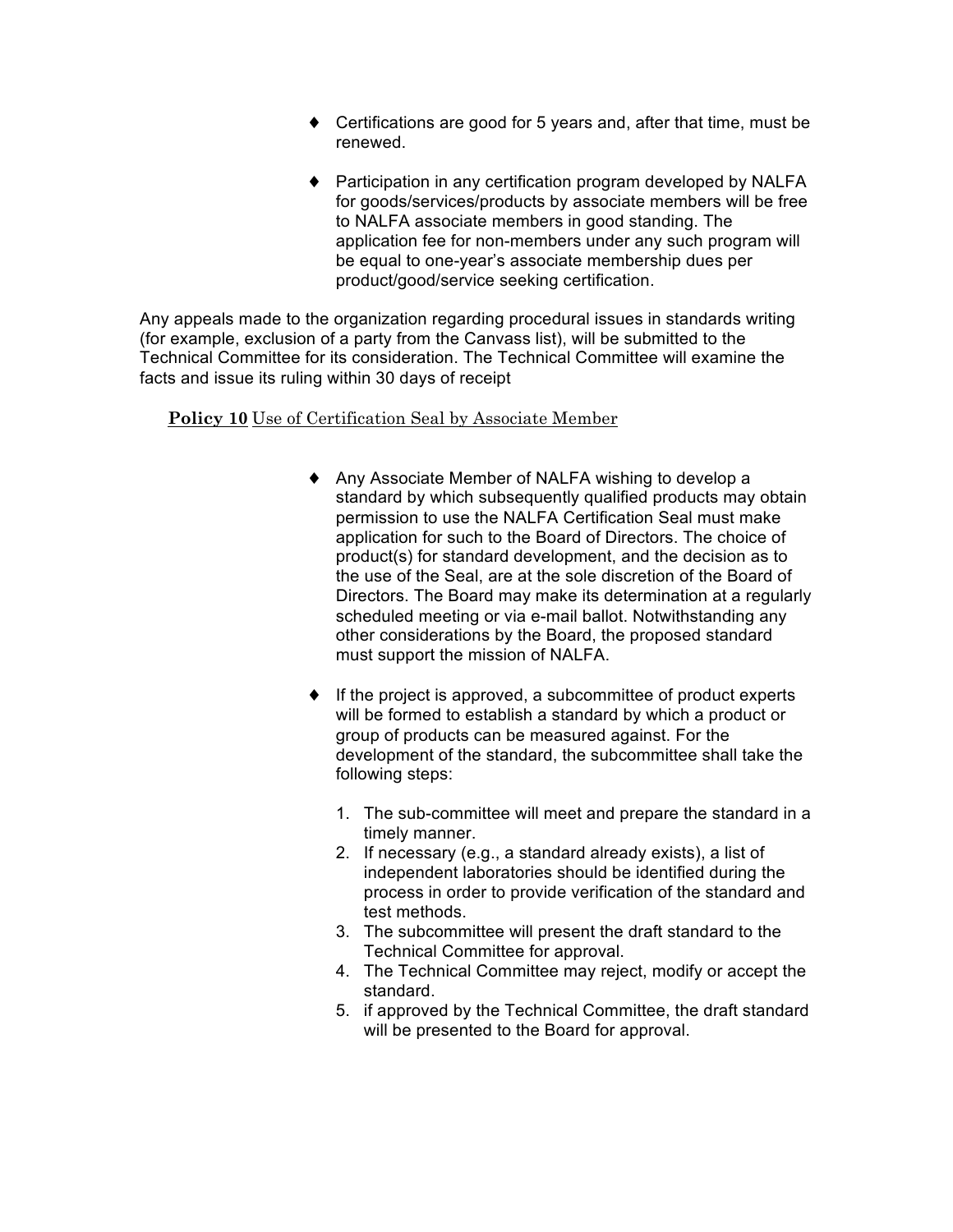- ♦ Certifications are good for 5 years and, after that time, must be renewed.
- ♦ Participation in any certification program developed by NALFA for goods/services/products by associate members will be free to NALFA associate members in good standing. The application fee for non-members under any such program will be equal to one-year's associate membership dues per product/good/service seeking certification.

Any appeals made to the organization regarding procedural issues in standards writing (for example, exclusion of a party from the Canvass list), will be submitted to the Technical Committee for its consideration. The Technical Committee will examine the facts and issue its ruling within 30 days of receipt

## **Policy 10** Use of Certification Seal by Associate Member

- ♦ Any Associate Member of NALFA wishing to develop a standard by which subsequently qualified products may obtain permission to use the NALFA Certification Seal must make application for such to the Board of Directors. The choice of product(s) for standard development, and the decision as to the use of the Seal, are at the sole discretion of the Board of Directors. The Board may make its determination at a regularly scheduled meeting or via e-mail ballot. Notwithstanding any other considerations by the Board, the proposed standard must support the mission of NALFA.
- ♦ If the project is approved, a subcommittee of product experts will be formed to establish a standard by which a product or group of products can be measured against. For the development of the standard, the subcommittee shall take the following steps:
	- 1. The sub-committee will meet and prepare the standard in a timely manner.
	- 2. If necessary (e.g., a standard already exists), a list of independent laboratories should be identified during the process in order to provide verification of the standard and test methods.
	- 3. The subcommittee will present the draft standard to the Technical Committee for approval.
	- 4. The Technical Committee may reject, modify or accept the standard.
	- 5. if approved by the Technical Committee, the draft standard will be presented to the Board for approval.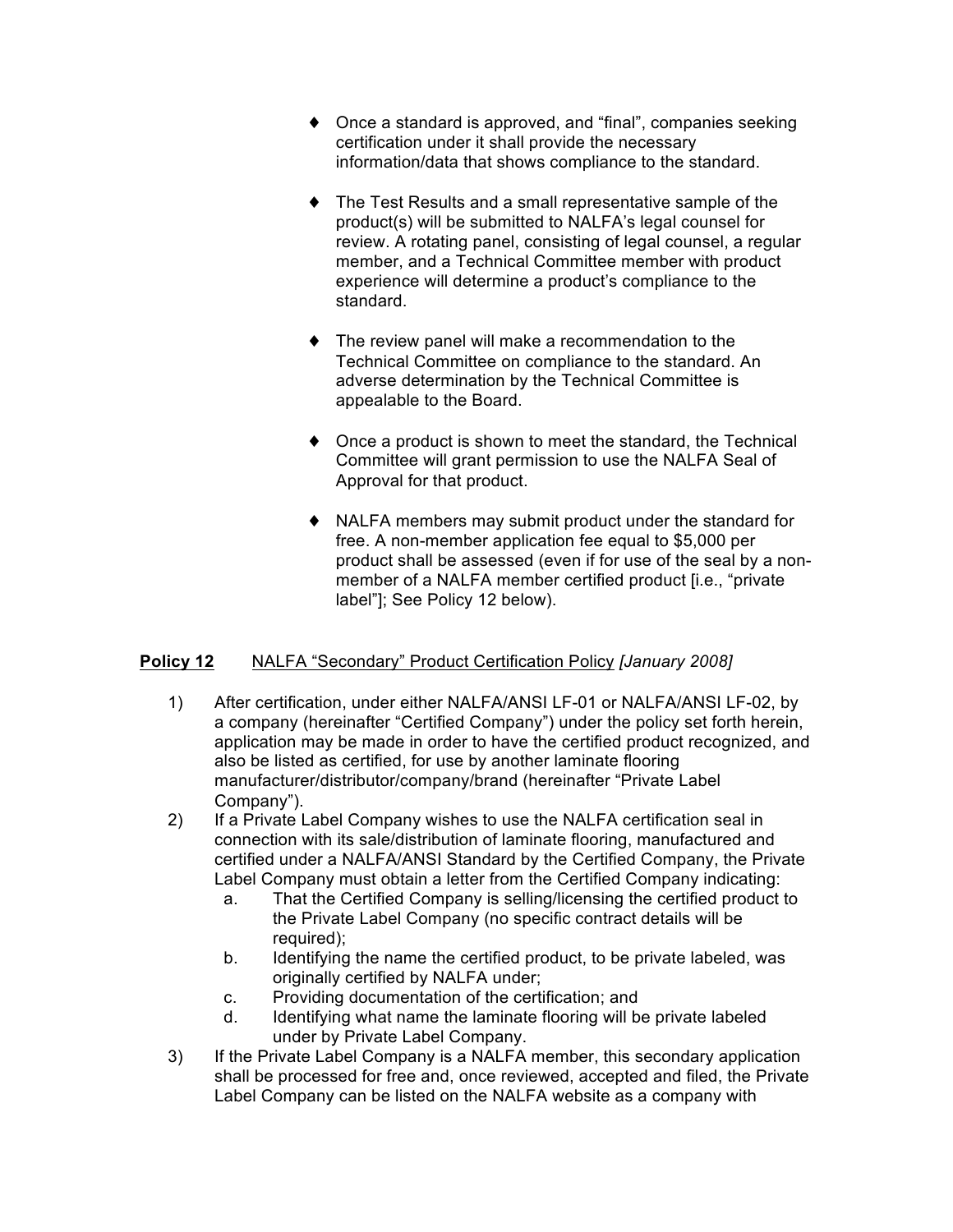- ♦ Once a standard is approved, and "final", companies seeking certification under it shall provide the necessary information/data that shows compliance to the standard.
- ♦ The Test Results and a small representative sample of the product(s) will be submitted to NALFA's legal counsel for review. A rotating panel, consisting of legal counsel, a regular member, and a Technical Committee member with product experience will determine a product's compliance to the standard.
- ♦ The review panel will make a recommendation to the Technical Committee on compliance to the standard. An adverse determination by the Technical Committee is appealable to the Board.
- ♦ Once a product is shown to meet the standard, the Technical Committee will grant permission to use the NALFA Seal of Approval for that product.
- ♦ NALFA members may submit product under the standard for free. A non-member application fee equal to \$5,000 per product shall be assessed (even if for use of the seal by a nonmember of a NALFA member certified product [i.e., "private label"]; See Policy 12 below).

## **Policy 12** NALFA "Secondary" Product Certification Policy *[January 2008]*

- 1) After certification, under either NALFA/ANSI LF-01 or NALFA/ANSI LF-02, by a company (hereinafter "Certified Company") under the policy set forth herein, application may be made in order to have the certified product recognized, and also be listed as certified, for use by another laminate flooring manufacturer/distributor/company/brand (hereinafter "Private Label Company").
- 2) If a Private Label Company wishes to use the NALFA certification seal in connection with its sale/distribution of laminate flooring, manufactured and certified under a NALFA/ANSI Standard by the Certified Company, the Private Label Company must obtain a letter from the Certified Company indicating:
	- a. That the Certified Company is selling/licensing the certified product to the Private Label Company (no specific contract details will be required);
	- b. Identifying the name the certified product, to be private labeled, was originally certified by NALFA under;
	- c. Providing documentation of the certification; and
	- d. Identifying what name the laminate flooring will be private labeled under by Private Label Company.
- 3) If the Private Label Company is a NALFA member, this secondary application shall be processed for free and, once reviewed, accepted and filed, the Private Label Company can be listed on the NALFA website as a company with